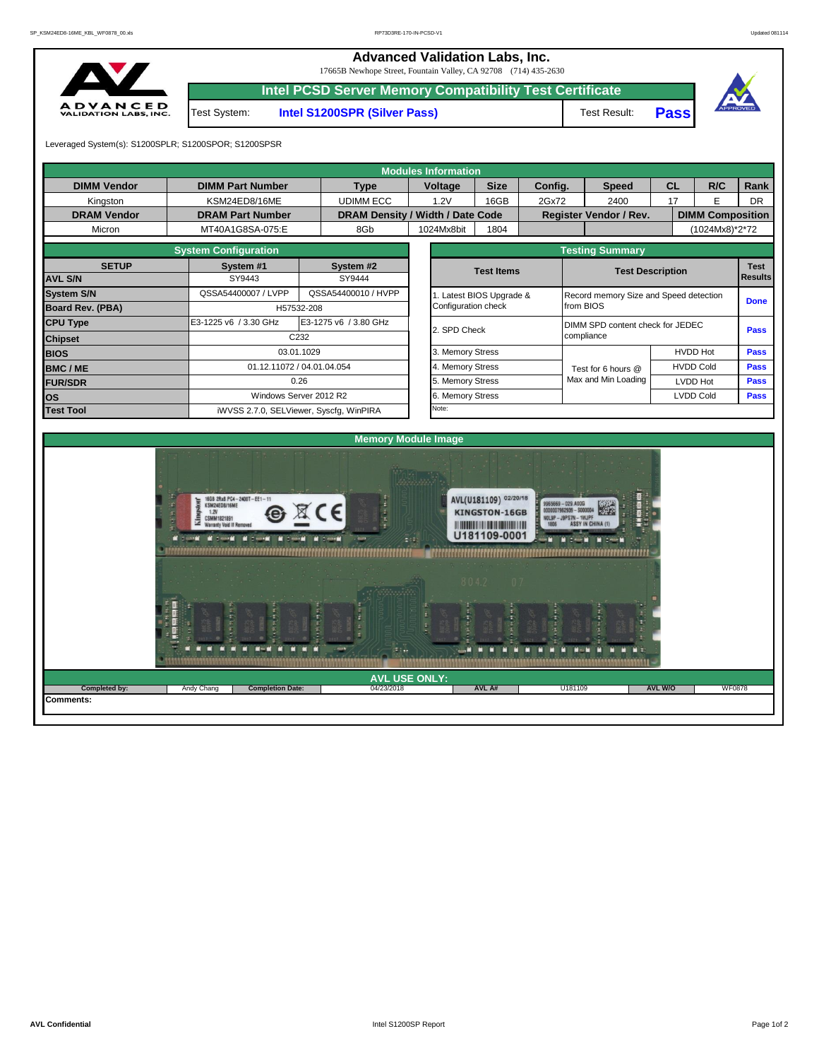**Advanced Validation Labs, Inc.** 

17665B Newhope Street, Fountain Valley, CA 92708 (714) 435-2630



|              | $1/00,$ D incwriting Street, Fourthand Valley, CA 72/08 (114) 433-2030 |              |             |
|--------------|------------------------------------------------------------------------|--------------|-------------|
|              | <b>Intel PCSD Server Memory Compatibility Test Certificate</b>         |              |             |
| Test System: | <b>Intel S1200SPR (Silver Pass)</b>                                    | Test Result: | <b>Pass</b> |



Leveraged System(s): S1200SPLR; S1200SPOR; S1200SPSR

|                                          |                                                                                                                                                                                                                                                                                                                                                                    |                       |                                  | <b>Modules Information</b>   |                                                               |       |                                                                                                    |                  |                               |             |  |  |  |  |  |
|------------------------------------------|--------------------------------------------------------------------------------------------------------------------------------------------------------------------------------------------------------------------------------------------------------------------------------------------------------------------------------------------------------------------|-----------------------|----------------------------------|------------------------------|---------------------------------------------------------------|-------|----------------------------------------------------------------------------------------------------|------------------|-------------------------------|-------------|--|--|--|--|--|
| <b>DIMM Vendor</b>                       | <b>DIMM Part Number</b>                                                                                                                                                                                                                                                                                                                                            |                       | <b>Type</b>                      | Voltage                      | <b>Size</b><br>Config.                                        |       | <b>Speed</b>                                                                                       | <b>CL</b>        | R/C                           | Rank        |  |  |  |  |  |
| Kingston                                 | KSM24ED8/16ME                                                                                                                                                                                                                                                                                                                                                      |                       | <b>UDIMM ECC</b>                 | 1.2V                         | 16GB                                                          | 2Gx72 | 2400                                                                                               | 17               | E                             | <b>DR</b>   |  |  |  |  |  |
| <b>DRAM Vendor</b>                       | <b>DRAM Part Number</b>                                                                                                                                                                                                                                                                                                                                            |                       | DRAM Density / Width / Date Code |                              |                                                               |       | Register Vendor / Rev.                                                                             |                  | <b>DIMM Composition</b>       |             |  |  |  |  |  |
| Micron                                   | MT40A1G8SA-075:E                                                                                                                                                                                                                                                                                                                                                   |                       | 8Gb                              | 1024Mx8bit                   | 1804                                                          |       |                                                                                                    |                  | (1024Mx8)*2*72                |             |  |  |  |  |  |
|                                          | <b>System Configuration</b>                                                                                                                                                                                                                                                                                                                                        |                       |                                  |                              |                                                               |       | <b>Testing Summary</b>                                                                             |                  |                               |             |  |  |  |  |  |
| <b>SETUP</b>                             | System #1                                                                                                                                                                                                                                                                                                                                                          |                       | System #2                        |                              | <b>Test Items</b>                                             |       |                                                                                                    |                  | <b>Test</b><br><b>Results</b> |             |  |  |  |  |  |
| <b>AVL S/N</b>                           | SY9443                                                                                                                                                                                                                                                                                                                                                             |                       | SY9444                           |                              |                                                               |       | <b>Test Description</b>                                                                            |                  |                               |             |  |  |  |  |  |
| <b>System S/N</b>                        | QSSA54400007 / LVPP                                                                                                                                                                                                                                                                                                                                                |                       | QSSA54400010 / HVPP              |                              | 1. Latest BIOS Upgrade &                                      |       | Record memory Size and Speed detection                                                             |                  |                               | <b>Done</b> |  |  |  |  |  |
| Board Rev. (PBA)                         |                                                                                                                                                                                                                                                                                                                                                                    | H57532-208            |                                  | Configuration check          |                                                               |       | from BIOS                                                                                          |                  |                               |             |  |  |  |  |  |
| <b>CPU Type</b>                          | E3-1225 v6 / 3.30 GHz                                                                                                                                                                                                                                                                                                                                              | E3-1275 v6 / 3.80 GHz |                                  |                              |                                                               |       | DIMM SPD content check for JEDEC                                                                   | <b>Pass</b>      |                               |             |  |  |  |  |  |
| <b>Chipset</b>                           |                                                                                                                                                                                                                                                                                                                                                                    | C232                  |                                  | 2. SPD Check                 |                                                               |       | compliance                                                                                         |                  |                               |             |  |  |  |  |  |
| <b>BIOS</b>                              |                                                                                                                                                                                                                                                                                                                                                                    | 03.01.1029            |                                  | 3. Memory Stress             |                                                               |       |                                                                                                    | <b>HVDD Hot</b>  | Pass                          |             |  |  |  |  |  |
| <b>BMC/ME</b>                            | 01.12.11072 / 04.01.04.054                                                                                                                                                                                                                                                                                                                                         |                       |                                  | 4. Memory Stress             |                                                               |       | Test for 6 hours @                                                                                 | <b>HVDD Cold</b> | Pass                          |             |  |  |  |  |  |
| <b>FUR/SDR</b>                           |                                                                                                                                                                                                                                                                                                                                                                    | 0.26                  |                                  | 5. Memory Stress             |                                                               |       | Max and Min Loading                                                                                | LVDD Hot         |                               | Pass        |  |  |  |  |  |
| OS                                       | Windows Server 2012 R2                                                                                                                                                                                                                                                                                                                                             |                       |                                  | 6. Memory Stress             |                                                               |       |                                                                                                    | <b>LVDD Cold</b> |                               | <b>Pass</b> |  |  |  |  |  |
|                                          | Note:<br><b>Test Tool</b><br>iWVSS 2.7.0, SELViewer, Syscfg, WinPIRA                                                                                                                                                                                                                                                                                               |                       |                                  |                              |                                                               |       |                                                                                                    |                  |                               |             |  |  |  |  |  |
|                                          |                                                                                                                                                                                                                                                                                                                                                                    |                       |                                  |                              |                                                               |       |                                                                                                    |                  |                               |             |  |  |  |  |  |
|                                          |                                                                                                                                                                                                                                                                                                                                                                    |                       |                                  | <b>Memory Module Image</b>   |                                                               |       |                                                                                                    |                  |                               |             |  |  |  |  |  |
|                                          | 16GB 2Rx8 PC4-2400T-EE1-11<br>KSM24ED8/16ME<br>1.2V<br>g,<br>King<br><b>CSMM1821891</b><br><b>Warranty Void If Remover</b><br><b>NEST WEST WEST AND STATE OF STATE AND STATE OF STATE AND STATE OF STATE AND STATE OF STATE OF STATE AND STATE OF STATE AND STATE OF STATE AND STATE OF STATE OF STATE OF STATE OF STATE OF STATE OF STATE OF STATE OF STATE A</b> |                       | $\sim$                           | E. E                         | AVL(U181109) 02/20/18<br><b>KINGSTON-16GB</b><br>U181109-0001 |       | 9965669-029.A00G<br>007962939 - S000004<br>NOL9P-J9PS7N-1WJPF<br><b>ASSY IN CHINA</b><br>$-1$<br>m |                  |                               |             |  |  |  |  |  |
|                                          |                                                                                                                                                                                                                                                                                                                                                                    |                       | $\mathbb{F}$ .                   | 8042<br><b>AVL USE ONLY:</b> |                                                               |       |                                                                                                    |                  |                               |             |  |  |  |  |  |
| <b>Completed by:</b><br><b>Comments:</b> | Andy Chang<br><b>Completion Date:</b>                                                                                                                                                                                                                                                                                                                              |                       | 04/23/2018                       |                              | AVL A#                                                        |       | U181109                                                                                            | AVL W/O          | <b>WF0878</b>                 |             |  |  |  |  |  |
|                                          |                                                                                                                                                                                                                                                                                                                                                                    |                       |                                  |                              |                                                               |       |                                                                                                    |                  |                               |             |  |  |  |  |  |